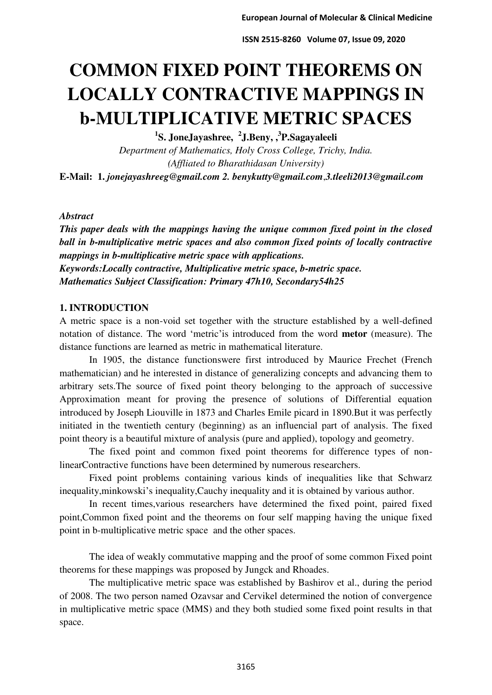# **COMMON FIXED POINT THEOREMS ON LOCALLY CONTRACTIVE MAPPINGS IN b-MULTIPLICATIVE METRIC SPACES**

**1 S. JoneJayashree, <sup>2</sup> J.Beny, ,<sup>3</sup> P.Sagayaleeli** 

*Department of Mathematics, Holy Cross College, Trichy, India. (Affliated to Bharathidasan University)*  **E-Mail: 1.** *jonejayashreeg@gmail.com 2. [benykutty@gmail.com](mailto:benykutty@gmail.com)*,*3.tleeli2013@gmail.com* 

## *Abstract*

*This paper deals with the mappings having the unique common fixed point in the closed ball in b-multiplicative metric spaces and also common fixed points of locally contractive mappings in b-multiplicative metric space with applications. Keywords:Locally contractive, Multiplicative metric space, b-metric space. Mathematics Subject Classification: Primary 47h10, Secondary54h25* 

## **1. INTRODUCTION**

A metric space is a non-void set together with the structure established by a well-defined notation of distance. The word 'metric'is introduced from the word **metor** (measure). The distance functions are learned as metric in mathematical literature.

In 1905, the distance functionswere first introduced by Maurice Frechet (French mathematician) and he interested in distance of generalizing concepts and advancing them to arbitrary sets.The source of fixed point theory belonging to the approach of successive Approximation meant for proving the presence of solutions of Differential equation introduced by Joseph Liouville in 1873 and Charles Emile picard in 1890.But it was perfectly initiated in the twentieth century (beginning) as an influencial part of analysis. The fixed point theory is a beautiful mixture of analysis (pure and applied), topology and geometry.

The fixed point and common fixed point theorems for difference types of nonlinearContractive functions have been determined by numerous researchers.

Fixed point problems containing various kinds of inequalities like that Schwarz inequality,minkowski's inequality,Cauchy inequality and it is obtained by various author.

In recent times,various researchers have determined the fixed point, paired fixed point,Common fixed point and the theorems on four self mapping having the unique fixed point in b-multiplicative metric space and the other spaces.

 The idea of weakly commutative mapping and the proof of some common Fixed point theorems for these mappings was proposed by Jungck and Rhoades.

The multiplicative metric space was established by Bashirov et al., during the period of 2008. The two person named Ozavsar and Cervikel determined the notion of convergence in multiplicative metric space (MMS) and they both studied some fixed point results in that space.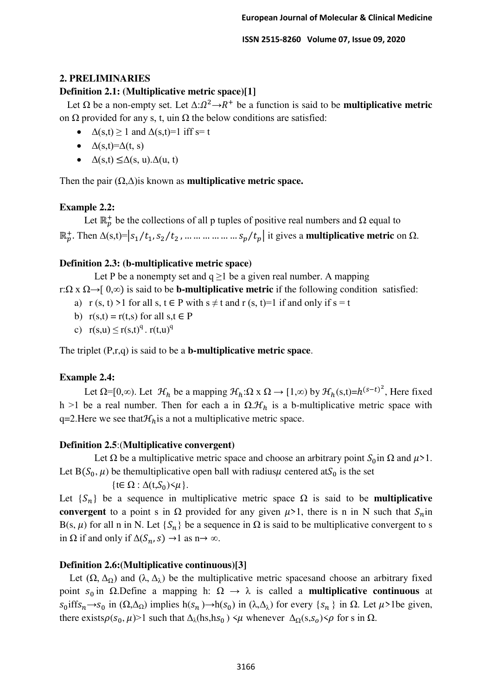## **2. PRELIMINARIES**

# **Definition 2.1: (Multiplicative metric space)[1]**

Let  $\Omega$  be a non-empty set. Let  $\Delta: \Omega^2 \to R^+$  be a function is said to be **multiplicative metric** on  $\Omega$  provided for any s, t, uin  $\Omega$  the below conditions are satisfied:

- $\triangle$  (s,t)  $\geq$  1 and  $\triangle$  (s,t) = 1 iff s = t
- $\triangle$  (s,t)= $\triangle$ (t, s)
- $\Delta(s,t) \leq \Delta(s, u) \Delta(u, t)$

Then the pair (Ω,Δ)is known as **multiplicative metric space.**

# **Example 2.2:**

Let  $\mathbb{R}_p^+$  be the collections of all p tuples of positive real numbers and  $\Omega$  equal to  $\mathbb{R}_p^+$ . Then Δ(s,t)= $|s_1/t_1, s_2/t_2$ , ... ... ... ... ... ...  $s_p/t_p|$  it gives a **multiplicative metric** on Ω.

# **Definition 2.3: (b-multiplicative metric space)**

Let P be a nonempty set and  $q \ge 1$  be a given real number. A mapping

r:Ω x Ω→[ 0,*∞*) is said to be **b-multiplicative metric** if the following condition satisfied:

- a) r (s, t) >1 for all s,  $t \in P$  with  $s \neq t$  and  $r$  (s, t)=1 if and only if  $s = t$
- b)  $r(s,t) = r(t,s)$  for all  $s,t \in P$
- c)  $r(s, u) \le r(s,t)^q$ .  $r(t, u)^q$

The triplet (P,r,q) is said to be a **b-multiplicative metric space**.

# **Example 2.4:**

Let  $\Omega = [0, \infty)$ . Let  $\mathcal{H}_h$  be a mapping  $\mathcal{H}_h : \Omega \times \Omega \to [1, \infty)$  by  $\mathcal{H}_h(s,t) = h^{(s-t)^2}$ , Here fixed h >1 be a real number. Then for each a in  $\Omega \mathcal{H}_h$  is a b-multiplicative metric space with q=2.Here we see that  $\mathcal{H}_h$  is a not a multiplicative metric space.

## **Definition 2.5**:(**Multiplicative convergent)**

Let  $\Omega$  be a multiplicative metric space and choose an arbitrary point  $S_0$  in  $\Omega$  and  $\mu > 1$ . Let B( $S_0$ ,  $\mu$ ) be themultiplicative open ball with radius  $\mu$  centered at  $S_0$  is the set

 $\{t \in \Omega : \Delta(t, S_0) \leq \mu\}.$ 

Let  ${S_n}$  be a sequence in multiplicative metric space  $\Omega$  is said to be **multiplicative convergent** to a point s in  $\Omega$  provided for any given  $\mu > 1$ , there is n in N such that  $S_n$  in B(s,  $\mu$ ) for all n in N. Let {S<sub>n</sub>} be a sequence in  $\Omega$  is said to be multiplicative convergent to s in  $\Omega$  if and only if  $\Delta(S_n, s) \rightarrow 1$  as n $\rightarrow \infty$ .

# **Definition 2.6:(Multiplicative continuous)[3]**

Let  $(\Omega, \Delta_{\Omega})$  and  $(\lambda, \Delta_{\lambda})$  be the multiplicative metric spaces and choose an arbitrary fixed point  $s_0$  in Ω.Define a mapping h:  $\Omega \rightarrow \lambda$  is called a **multiplicative continuous** at  $s_0$ iffs<sub>n</sub> $\rightarrow$ s<sub>0</sub> in ( $\Omega$ , $\Delta$ <sub>Ω</sub>) implies h( $s_n$ ) $\rightarrow$ h( $s_0$ ) in ( $\lambda$ , $\Delta$ <sub> $\lambda$ </sub>) for every { $s_n$ } in  $\Omega$ . Let  $\mu$ >1be given, there exists $\rho(s_0, \mu)$ >1 such that  $\Delta_\lambda$ (hs,hs<sub>0</sub>)  $\lt \mu$  whenever  $\Delta_\Omega$ (s,s<sub>0</sub>) $\lt \rho$  for s in  $\Omega$ .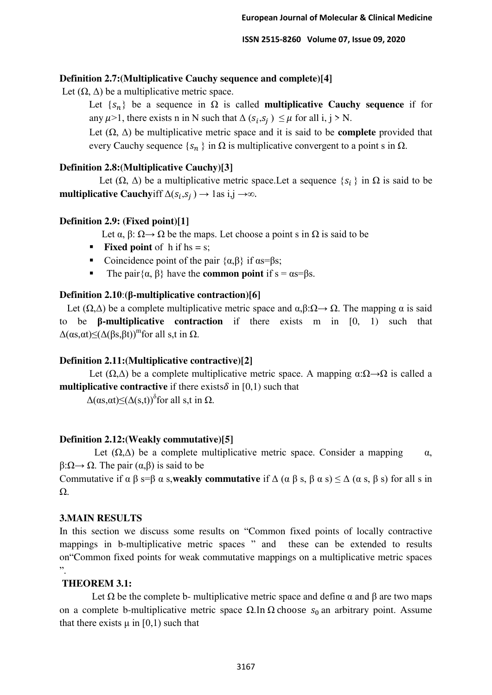## **Definition 2.7:(Multiplicative Cauchy sequence and complete)[4]**

Let  $(\Omega, \Delta)$  be a multiplicative metric space.

Let  $\{s_n\}$  be a sequence in  $\Omega$  is called **multiplicative Cauchy sequence** if for any  $\mu$ >1, there exists n in N such that  $\Delta (s_i, s_j) \leq \mu$  for all i, j > N.

Let (Ω, Δ) be multiplicative metric space and it is said to be **complete** provided that every Cauchy sequence  $\{s_n\}$  in  $\Omega$  is multiplicative convergent to a point s in  $\Omega$ .

# **Definition 2.8:(Multiplicative Cauchy)[3]**

Let  $(\Omega, \Delta)$  be a multiplicative metric space. Let a sequence  $\{s_i\}$  in  $\Omega$  is said to be **multiplicative Cauchy** if  $\Delta(s_i, s_j) \rightarrow 1$  as  $i, j \rightarrow \infty$ .

## **Definition 2.9: (Fixed point)[1]**

Let  $\alpha$ ,  $\beta$ :  $\Omega \rightarrow \Omega$  be the maps. Let choose a point s in  $\Omega$  is said to be

- **Fixed point** of h if hs = s;
- Coincidence point of the pair  $\{\alpha, \beta\}$  if  $\alpha s = \beta s$ ;
- The pair $\{\alpha, \beta\}$  have the **common point** if  $s = \alpha s = \beta s$ .

# **Definition 2.10**:**(β-multiplicative contraction)[6]**

Let  $(\Omega, \Delta)$  be a complete multiplicative metric space and  $\alpha, \beta : \Omega \to \Omega$ . The mapping  $\alpha$  is said to be **β-multiplicative contraction** if there exists m in [0, 1) such that  $\Delta(\alpha s, \alpha t) \leq (\Delta(\beta s, \beta t))^m$  for all s,t in  $\Omega$ .

# **Definition 2.11:(Multiplicative contractive)[2]**

Let  $(\Omega, \Delta)$  be a complete multiplicative metric space. A mapping  $\alpha : \Omega \rightarrow \Omega$  is called a **multiplicative contractive** if there exists  $\delta$  in [0,1) such that

 $\Delta(\alpha s,\alpha t) \leq (\Delta(s,t))^{\delta}$  for all s,t in  $\Omega$ .

## **Definition 2.12:(Weakly commutative)[5]**

Let  $(\Omega, \Delta)$  be a complete multiplicative metric space. Consider a mapping  $\alpha$ ,  $β:Ω \rightarrow Ω$ . The pair  $(α, β)$  is said to be

Commutative if  $\alpha \beta$  s= $\beta$  α s, weakly commutative if  $\Delta$  ( $\alpha \beta$  s,  $\beta$  α s)  $\leq \Delta$  ( $\alpha$  s,  $\beta$  s) for all s in Ω.

## **3.MAIN RESULTS**

In this section we discuss some results on "Common fixed points of locally contractive mappings in b-multiplicative metric spaces " and these can be extended to results on"Common fixed points for weak commutative mappings on a multiplicative metric spaces  $\ddot{\phantom{0}}$ .

# **THEOREM 3.1:**

Let  $\Omega$  be the complete b- multiplicative metric space and define  $\alpha$  and  $\beta$  are two maps on a complete b-multiplicative metric space  $Ω$ . In  $Ω$  choose  $s_0$  an arbitrary point. Assume that there exists  $\mu$  in [0,1] such that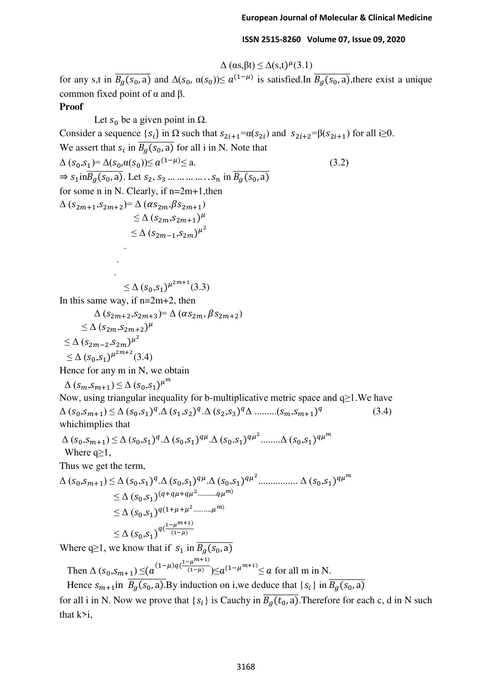$$
\Delta\left(\alpha s, \beta t\right) \leq \Delta(s, t)^{\mu}(3.1)
$$

for any s,t in  $B_g(s_0, a)$  and  $\Delta(s_0, \alpha(s_0)) \le a^{(1-\mu)}$  is satisfied. In  $B_g(s_0, a)$ , there exist a unique common fixed point of  $α$  and  $β$ .

#### **Proof**

Let  $s_0$  be a given point in  $\Omega$ . Consider a sequence  $\{s_i\}$  in  $\Omega$  such that  $s_{2i+1} = \alpha(s_{2i})$  and  $s_{2i+2} = \beta(s_{2i+1})$  for all  $i \ge 0$ . We assert that  $s_i$  in  $B_g(s_0, a)$  for all i in N. Note that  $\Delta (s_0, s_1) = \Delta (s_0, \alpha(s_0)) \le a^{(1-\mu)} \le a.$  (3.2)  $\Rightarrow$   $s_1$ in $\overline{B_q(s_0, a)}$ . Let  $s_2, s_3$  ... ... ... ...  $s_n$  in  $\overline{B_q(s_0, a)}$ for some n in N. Clearly, if n=2m+1,then  $\Delta (S_{2m+1},S_{2m+2})=\Delta (\alpha S_{2m},\beta S_{2m+1})$  $\leq \Delta (s_{2m}, s_{2m+1})^{\mu}$  $\leq \Delta (s_{2m-1}, s_{2m})^{\mu^2}$ .

 $\leq \Delta (s_0, s_1)^{\mu^{2m+1}}(3.3)$ 

In this same way, if  $n=2m+2$ , then

$$
\Delta (s_{2m+2}, s_{2m+3}) = \Delta (\alpha s_{2m}, \beta s_{2m+2})
$$
  
\n
$$
\leq \Delta (s_{2m}, s_{2m+2})^{\mu}
$$
  
\n
$$
\leq \Delta (s_{2m-2}, s_{2m})^{\mu^2}
$$
  
\n
$$
\leq \Delta (s_0, s_1)^{\mu^{2m+2}} (3.4)
$$

Hence for any m in N, we obtain

$$
\Delta (s_m, s_{m+1}) \leq \Delta (s_0, s_1)^{\mu^m}
$$

Now, using triangular inequality for b-multiplicative metric space and q≥1.We have  $\Delta (s_0, s_{m+1}) \leq \Delta (s_0, s_1)^q \cdot \Delta (s_1, s_2)^q \cdot \Delta (s_2, s_3)^q \Delta \dots \dots (s_m, s_{m+1})^q$  (3.4) whichimplies that

$$
\Delta (s_0, s_{m+1}) \le \Delta (s_0, s_1)^q \cdot \Delta (s_0, s_1)^{q\mu} \cdot \Delta (s_0, s_1)^{q\mu^2} \dots \dots \Delta (s_0, s_1)^{q\mu^m}
$$

Where  $q \geq l$ ,

 . .

Thus we get the term,

$$
\Delta (s_0, s_{m+1}) \leq \Delta (s_0, s_1)^q \cdot \Delta (s_0, s_1)^{q\mu} \cdot \Delta (s_0, s_1)^{q\mu^2} \dots \dots \dots \dots \dots \Delta (s_0, s_1)^{q\mu^m}
$$
  
\n
$$
\leq \Delta (s_0, s_1)^{(q+q\mu+q\mu^2 \dots s_{m\mu^m})}
$$
  
\n
$$
\leq \Delta (s_0, s_1)^{q(1+\mu+\mu^2 \dots s_{m\mu^m})}
$$
  
\n
$$
\leq \Delta (s_0, s_1)^{q(\frac{1-\mu^{m+1}}{(1-\mu)})}
$$

Where q≥1, we know that if  $s_1$  in  $\overline{B_g(s_0, a)}$ 

Then  $\Delta (s_0, s_{m+1}) \leq (a^{(1-\mu)q(\frac{1-\mu^{m+1}}{(1-\mu)})} \leq a^{(1-\mu^{m+1})} \leq a$  for all m in N.

Hence  $s_{m+1}$ in  $B_g(s_0, a)$ . By induction on i,we deduce that  $\{s_i\}$  in  $\overline{B_g(s_0, a)}$ 

for all i in N. Now we prove that  $\{s_i\}$  is Cauchy in  $\overline{B_q(t_0, a)}$ . Therefore for each c, d in N such that k>i,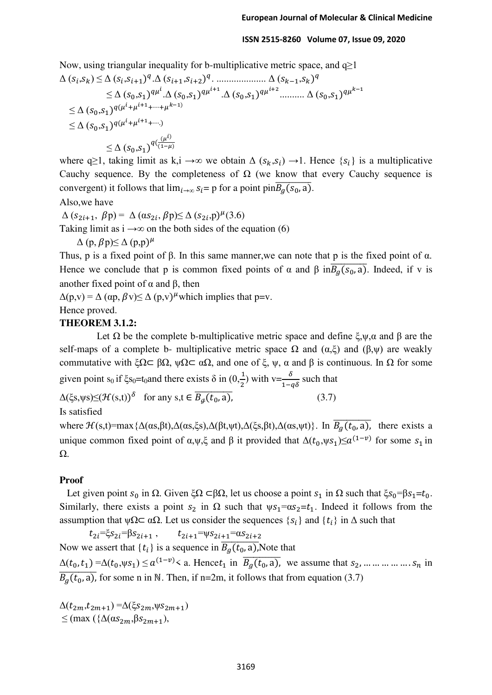Now, using triangular inequality for b-multiplicative metric space, and  $q\geq 1$ 

Δ ( ,) ≤ Δ ( ,+1) .Δ (+1,+2) . .................... Δ (−1,) ≤ Δ (0,1) .Δ (0,1) +1.Δ (0,1) +2.......... Δ (0,1) −1 ≤ Δ (0,1) (++1+⋯+−1) ≤ Δ (0,1) (++1+⋯.) ≤ Δ (0,1) ( () (1−)

where q≥1, taking limit as k,i  $\rightarrow \infty$  we obtain  $\Delta (s_k, s_i) \rightarrow 1$ . Hence  $\{s_i\}$  is a multiplicative Cauchy sequence. By the completeness of  $\Omega$  (we know that every Cauchy sequence is convergent) it follows that  $\lim_{i\to\infty} s_i = p$  for a point  $\lim_{\delta} \overline{B_q(s_0, a)}$ .

Also,we have

 $\Delta (s_{2i+1}, \beta p) = \Delta (\alpha s_{2i}, \beta p) \leq \Delta (s_{2i}, p)^{\mu} (3.6)$ Taking limit as  $i \rightarrow \infty$  on the both sides of the equation (6)  $\Delta$  (p,  $\beta$ p) $\leq$   $\Delta$  (p,p) $^{\mu}$ 

Thus, p is a fixed point of β. In this same manner,we can note that p is the fixed point of α. Hence we conclude that p is common fixed points of  $\alpha$  and  $\beta$  in $\overline{B_{q}(s_0, a)}$ . Indeed, if v is another fixed point of  $α$  and  $β$ , then

 $\Delta(p,v) = \Delta(\alpha p, \beta v) \leq \Delta(p,v)^{\mu}$  which implies that p=v. Hence proved.

#### **THEOREM 3.1.2:**

Let  $\Omega$  be the complete b-multiplicative metric space and define ξ,ψ,α and β are the self-maps of a complete b- multiplicative metric space  $\Omega$  and  $(\alpha,\xi)$  and  $(\beta,\psi)$  are weakly commutative with ξ $\Omega \subset \beta \Omega$ ,  $\psi \Omega \subset \alpha \Omega$ , and one of ξ,  $\psi$ ,  $\alpha$  and  $\beta$  is continuous. In  $\Omega$  for some given point s<sub>0</sub> if  $\xi$ s<sub>0</sub>=t<sub>0</sub>and there exists  $\delta$  in  $(0, \frac{1}{2})$  with v= $\frac{\delta}{1-q\delta}$  such that

 $\Delta(\xi s, \psi s) \leq (\mathcal{H}(s,t))^{\delta}$  for any  $s, t \in B_{\mathcal{G}}(t_0, a)$ , (3.7)

$$
a), \t(3.7)
$$

Is satisfied

where  $\mathcal{H}(s,t) = \max\{\Delta(\alpha s,\beta t),\Delta(\alpha s,\xi s),\Delta(\beta t,\psi t),\Delta(\xi s,\beta t),\Delta(\alpha s,\psi t)\}\$ . In  $\overline{B_g(t_0, a)}$ , there exists a unique common fixed point of  $\alpha, \psi, \xi$  and  $\beta$  it provided that  $\Delta(t_0, \psi s_1) \leq \alpha^{(1-\nu)}$  for some  $s_1$  in Ω.

#### **Proof**

Let given point  $s_0$  in  $\Omega$ . Given ξ $\Omega \subset \beta\Omega$ , let us choose a point  $s_1$  in  $\Omega$  such that ξ $s_0 = \beta s_1 = t_0$ . Similarly, there exists a point  $s_2$  in  $\Omega$  such that  $\psi s_1 = \alpha s_2 = t_1$ . Indeed it follows from the assumption that  $\psi \Omega \subset \alpha \Omega$ . Let us consider the sequences  $\{S_i\}$  and  $\{t_i\}$  in  $\Delta$  such that

 $t_{2i} = \xi s_{2i} = \beta s_{2i+1}$ ,  $t_{2i+1} = \psi s_{2i+1} = \alpha s_{2i+2}$ Now we assert that  $\{t_i\}$  is a sequence in  $\overline{B_q(t_0, a)}$ , Note that  $\Delta(t_0, t_1) = \Delta(t_0, \psi s_1) \leq a^{(1-\nu)} \leq a$ . Hence  $t_1$  in  $\overline{B_q(t_0, a)}$ , we assume that  $s_2, \dots, \dots, s_n$  in  $\overline{B_a(t_0, a)}$ , for some n in N. Then, if n=2m, it follows that from equation (3.7)

 $\Delta(t_{2m}, t_{2m+1}) = \Delta(\xi s_{2m}, \psi s_{2m+1})$  $\leq$  (max  $({\Delta(\alpha s_{2m}, \beta s_{2m+1})},$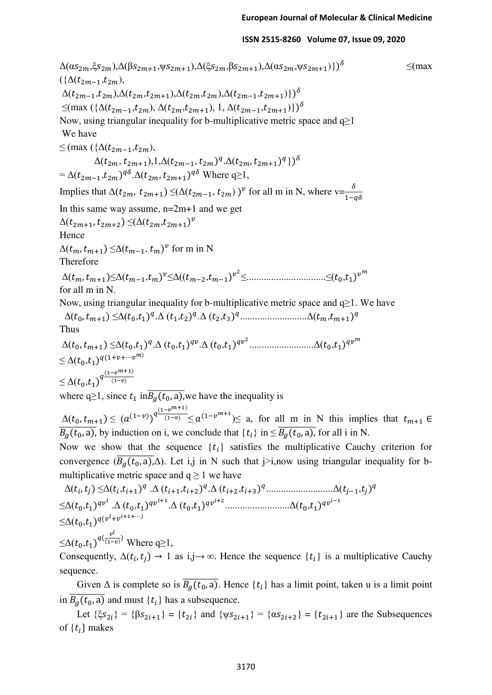$\Delta(\alpha s_{2m},\xi s_{2m}),\Delta(\beta s_{2m+1},\psi s_{2m+1}),\Delta(\xi s_{2m},\beta s_{2m+1}),\Delta(\alpha s_{2m},\psi s_{2m+1})\})^{\delta}$  ≤(max  $({\Delta}(t_{2m-1}, t_{2m}),$  $\Delta(t_{2m-1}, t_{2m}), \Delta(t_{2m}, t_{2m+1}), \Delta(t_{2m}, t_{2m}), \Delta(t_{2m-1}, t_{2m+1})\})^{\delta}$  $\leq$ (max ({ $\Delta(t_{2m-1}, t_{2m})$ ,  $\Delta(t_{2m}, t_{2m+1})$ , 1,  $\Delta(t_{2m-1}, t_{2m+1})$ })<sup>o</sup> Now, using triangular inequality for b-multiplicative metric space and  $q\geq 1$  We have  $≤$  (max ({ $∆$ ( $t_{2m-1}, t_{2m}$ ),  $\Delta(t_{2m}, t_{2m+1}), 1, \Delta(t_{2m-1}, t_{2m})^q. \Delta(t_{2m}, t_{2m+1})^q \})^{\delta}$  $= \Delta(t_{2m-1}, t_{2m})^{q\delta} \Delta(t_{2m}, t_{2m+1})^{q\delta}$  Where q≥1, Implies that  $\Delta(t_{2m}, t_{2m+1}) \leq (\Delta(t_{2m-1}, t_{2m}))^{\nu}$  for all m in N, where  $v = \frac{\delta}{1 - q\delta}$ In this same way assume,  $n=2m+1$  and we get  $\Delta(t_{2m+1}, t_{2m+2}) \leq (\Delta(t_{2m}, t_{2m+1})^{\nu})$ Hence  $\Delta(t_m, t_{m+1}) \leq \Delta(t_{m-1}, t_m)^v$  for m in N Therefore  $\Delta(t_m, t_{m+1}) \leq \Delta(t_{m-1}, t_m)^{\nu} \leq \Delta((t_{m-2}, t_{m-1})^{\nu^2} \leq \ldots \ldots \ldots \ldots \ldots \ldots \leq (t_0, t_1)^{\nu^m}$ for all m in N. Now, using triangular inequality for b-multiplicative metric space and q≥1. We have  $\Delta(t_0, t_{m+1}) \leq \Delta(t_0, t_1)^q \cdot \Delta(t_1, t_2)^q \cdot \Delta(t_2, t_3)^q \dots \dots \dots \dots \dots \dots \Delta(t_m, t_{m+1})^q$ Thus  $\Delta(t_0, t_{m+1}) \leq \Delta(t_0, t_1)^q \cdot \Delta(t_0, t_1)^{qv} \cdot \Delta(t_0, t_1)^{qv^2} \cdot \ldots \cdot \ldots \cdot \ldots \cdot \Delta(t_0, t_1)^{qv^m}$  $\leq \Delta (t_0,t_1)^{q(1+v+\cdots v^m)}$  $\leq \Delta(t_0,t_1)^{q\frac{(1-v^{m+1})}{(1-v)}}$  $(1-\nu)$ where q≥1, since  $t_1$  in $\overline{B_q(t_0, a)}$ , we have the inequality is  $\Delta(t_0, t_{m+1}) \leq (a^{(1-v)})^{q^{\frac{(1-v^{m+1})}{(1-v)}}} \leq a^{(1-v^{m+1})} \leq a$ , for all m in N this implies that  $t_{m+1} \in$  $\overline{B_a(t_0, a)}$ , by induction on i, we conclude that  $\{t_i\}$  in  $\leq \overline{B_a(t_0, a)}$ , for all i in N. Now we show that the sequence  $\{t_i\}$  satisfies the multiplicative Cauchy criterion for convergence  $(\overline{B_g(t_0, a)}$ . Let i,j in N such that j>i,now using triangular inequality for bmultiplicative metric space and  $q \ge 1$  we have  $\Delta(t_i, t_j) \leq \Delta(t_i, t_{i+1})^q \cdot \Delta(t_{i+1}, t_{i+2})^q \cdot \Delta(t_{i+2}, t_{i+3})^q \cdot \ldots \cdot \Delta(t_{j-1}, t_j)^q$  $\leq \Delta(t_0,t_1)^{qv^l} \cdot \Delta(t_0,t_1)^{qv^{l+1}} \cdot \Delta(t_0,t_1)^{qv^{l+2}} \cdot \ldots \cdot \Delta(t_0,t_1)^{qv^{l-1}}$  $\leq$  $\Delta$  $(t_0,t_1)^{q(v^l+v^{l+1+\cdots)}}$  $\leq\!\!\Delta(t_0,t_1)^{q(\frac{v^l}{(1-\varepsilon)})}$  $\overline{(1-v)}$  Where q≥1, Consequently,  $\Delta(t_i, t_j) \rightarrow 1$  as  $i, j \rightarrow \infty$ . Hence the sequence  $\{t_i\}$  is a multiplicative Cauchy sequence.

Given  $\Delta$  is complete so is  $\overline{B_a(t_0, a)}$ . Hence  $\{t_i\}$  has a limit point, taken u is a limit point in  $B_g(t_0, a)$  and must  $\{t_i\}$  has a subsequence.

Let  $\{\xi s_{2i}\} = \{\beta s_{2i+1}\} = \{t_{2i}\}\$  and  $\{ \psi s_{2i+1}\} = \{\alpha s_{2i+2}\} = \{t_{2i+1}\}\$  are the Subsequences of  $\{t_i\}$  makes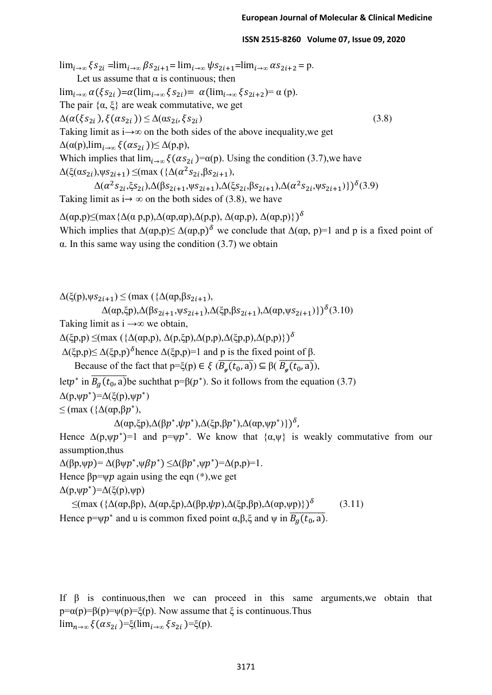$\lim_{i\to\infty} \xi s_{2i} = \lim_{i\to\infty} \beta s_{2i+1} = \lim_{i\to\infty} \psi s_{2i+1} = \lim_{i\to\infty} \alpha s_{2i+2} = p.$ Let us assume that  $\alpha$  is continuous; then lim<sub>i→∞</sub>  $\alpha(\xi s_{2i}) = \alpha(\lim_{i\to\infty} \xi s_{2i}) = \alpha(\lim_{i\to\infty} \xi s_{2i+2}) = \alpha(p)$ . The pair  $\{\alpha, \xi\}$  are weak commutative, we get  $\Delta(\alpha(\xi s_{2i}), \xi(\alpha s_{2i})) \leq \Delta(\alpha s_{2i}, \xi s_{2i})$  (3.8) Taking limit as i→*∞* on the both sides of the above inequality,we get  $\Delta(\alpha(p),\lim_{i\to\infty}\xi(\alpha s_{2i}))\leq \Delta(p,p),$ Which implies that  $\lim_{i\to\infty} \xi(\alpha s_{2i})=\alpha(p)$ . Using the condition (3.7), we have  $\Delta(\xi(\alpha s_{2i}), \psi s_{2i+1}) \leq (\max (\{\Delta(\alpha^2 s_{2i}, \beta s_{2i+1}),\})$  $\Delta(\alpha^2 s_{2i}, \xi s_{2i})$ , $\Delta(\beta s_{2i+1}, \psi s_{2i+1})$ , $\Delta(\xi s_{2i}, \beta s_{2i+1})$ , $\Delta(\alpha^2 s_{2i}, \psi s_{2i+1})$ })<sup>δ</sup>(3.9) Taking limit as  $i \rightarrow \infty$  on the both sides of (3.8), we have  $Δ(αp,p)≤(max{Δ(αp,p),Δ(αp,αp),Δ(p,p), Δ(αp,p), Δ(αp,p)})<sup>δ</sup>$ Which implies that  $\Delta(\alpha p, p) \leq \Delta(\alpha p, p)^{\delta}$  we conclude that  $\Delta(\alpha p, p) = 1$  and p is a fixed point of α. In this same way using the condition (3.7) we obtain

```
\Delta(\xi(p), \psi s_{2i+1}) \leq (\max (\{\Delta(\alpha p, \beta s_{2i+1}),
```

$$
\Delta(\alpha p, \xi p), \Delta(\beta s_{2i+1}, \psi s_{2i+1}), \Delta(\xi p, \beta s_{2i+1}), \Delta(\alpha p, \psi s_{2i+1})\})^{\delta}(3.10)
$$

Taking limit as i →*∞* we obtain,

 $\Delta(\xi p,p) \leq (max (\{\Delta(\alpha p,p), \Delta(p,\xi p), \Delta(p,p), \Delta(\xi p,p), \Delta(p,p)\})^{\delta})$ 

 $Δ(ξp,p) ≤ Δ(ξp,p)°$  hence  $Δ(ξp,p)=1$  and p is the fixed point of β.

Because of the fact that  $p=\xi(p) \in \xi(\overline{B_{\alpha}(t_0, a)}) \subseteq \beta(\overline{B_{\alpha}(t_0, a)})$ ,

let $p^*$  in  $\overline{B_g(t_0, a)}$  be such that  $p = \beta(p^*)$ . So it follows from the equation (3.7)

 $\Delta(p, \psi p^*) = \Delta(\xi(p), \psi p^*)$ 

 $≤$  (max ({Δ(αp,βp<sup>\*</sup>),

```
\Delta(\alpha p, \xi p), \Delta(\beta p^*, \psi p^*), \Delta(\xi p, \beta p^*), \Delta(\alpha p, \psi p^*))\}^{\delta},
```
Hence  $\Delta(p, \psi p^*) = 1$  and  $p = \psi p^*$ . We know that  $\{\alpha, \psi\}$  is weakly commutative from our assumption,thus

 $\Delta(\beta p, \psi p) = \Delta(\beta \psi p^*, \psi \beta p^*) \leq \Delta(\beta p^*, \psi p^*) = \Delta(p, p) = 1.$ 

Hence  $\beta p = \psi p$  again using the eqn (\*), we get

 $Δ(p,ψp*)=Δ(ξ(p),ψp)$ 

 $\leq$ (max ({Δ(αp,βp), Δ(αp,ξp),Δ(βp,ψp),Δ(ξp,βp),Δ(αp,ψp)})<sup>δ</sup> (3.11) Hence  $p=\psi p^*$  and u is common fixed point  $\alpha, \beta, \xi$  and  $\psi$  in  $B_g(t_0, a)$ .

If  $\beta$  is continuous, then we can proceed in this same arguments, we obtain that  $p = \alpha(p) = \beta(p) = \xi(p)$ . Now assume that  $\xi$  is continuous. Thus lim<sub>n→∞</sub>  $\xi(\alpha s_{2i})=\xi(\lim_{i\to\infty}\xi s_{2i})=\xi(p)$ .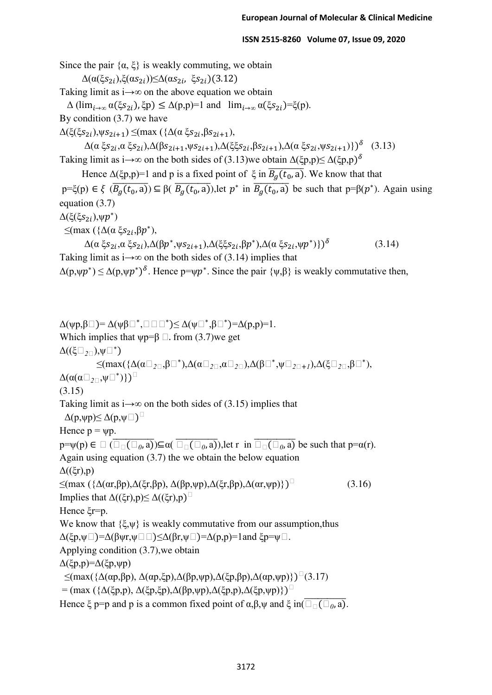Since the pair  $\{\alpha, \xi\}$  is weakly commuting, we obtain  $Δ(α(ξs<sub>2i</sub>),ξ(αs<sub>2i</sub>))≤Δ(αs<sub>2i</sub>, ξs<sub>2i</sub>)(3.12)$ Taking limit as i→*∞* on the above equation we obtain  $Δ(\lim_{i\to ∞} α(\xi s_{2i}), \xi p) ≤ Δ(p,p)=1$  and  $\lim_{i\to ∞} α(\xi s_{2i}) = ξ(p).$ By condition (3.7) we have  $\Delta(\xi(\xi s_{2i}),\psi s_{2i+1}) \leq (max (\{\Delta(\alpha \xi s_{2i},\beta s_{2i+1}),\$  $\Delta(\alpha \xi s_{2i}, \alpha \xi s_{2i})$ , $\Delta(\beta s_{2i+1}, \psi s_{2i+1})$ , $\Delta(\xi \xi s_{2i}, \beta s_{2i+1})$ , $\Delta(\alpha \xi s_{2i}, \psi s_{2i+1})$ })<sup> $\delta$ </sup> (3.13) Taking limit as i→ $\infty$  on the both sides of (3.13)we obtain  $\Delta(\xi p, p) \leq \Delta(\xi p, p)^{\delta}$ Hence  $\Delta(\xi p, p)=1$  and p is a fixed point of  $\xi$  in  $\overline{B_a(t_0, a)}$ . We know that that  $p=\xi(p) \in \xi$  ( $B_g(t_0, a)$ ) $\subseteq \beta$ ( $B_g(t_0, a)$ ), let  $p^*$  in  $B_g(t_0, a)$  be such that  $p=\beta(p^*)$ . Again using equation (3.7)  $\Delta(\xi(\xi s_{2i}), \psi p^*)$  $\leq$ (max ({Δ(α ξ $s_{2i}$ ,β $p^*$ ), Δ(α ξ $s_{2i}$ ,α ξ $s_{2i}$ ),Δ(β $p^*$ ,ψ $s_{2i+1}$ ),Δ(ξξ $s_{2i}$ ,β $p^*$ ),Δ(α ξ $s_{2i}$ ,ψ $p^*$ )})<sup>δ</sup> (3.14) Taking limit as  $i \rightarrow \infty$  on the both sides of (3.14) implies that  $\Delta(p,\psi p^*) \leq \Delta(p,\psi p^*)^{\delta}$ . Hence  $p=\psi p^*$ . Since the pair  $\{\psi,\beta\}$  is weakly commutative then,  $\Delta(\psi p,\beta \Box) = \Delta(\psi \beta \Box^*,\Box \Box \Box^*) \leq \Delta(\psi \Box^*,\beta \Box^*) = \Delta(p,p) = 1.$ Which implies that  $\psi p = \beta$  . from (3.7)we get  $\Delta((\xi\Box_{2\Box}), \psi\Box^{*})$  $\leq$ (max( $\{\Delta(\alpha\Box_{2\Box},\beta\Box^{*}),\Delta(\alpha\Box_{2\Box},\alpha\Box_{2\Box}),\Delta(\beta\Box^{*},\psi\Box_{2\Box+I}),\Delta(\xi\Box_{2\Box},\beta\Box^{*}),$ Δ(α(α*2*,ψ ∗ )}) (3.15) Taking limit as  $i \rightarrow \infty$  on the both sides of (3.15) implies that  $\Delta(p, \psi p) \leq \Delta(p, \psi \Box)$ Hence  $p = \psi p$ .  $p=\psi(p)\in\Box$  ( $\Box_{\Box}(\Box_{0},a)$ ) $\subseteq\alpha(\Box_{\Box}(\Box_{0},a))$ , let r in  $\Box_{\Box}(\Box_{0},a)$  be such that  $p=\alpha(r)$ . Again using equation (3.7) the we obtain the below equation  $Δ((ξr),p)$  $\leq$ (max ({Δ(αr,βp),Δ(ξr,βp), Δ(βp,ψp),Δ(ξr,βp),Δ(αr,ψp)})<sup>□</sup> (3.16) Implies that  $\Delta((\xi r), p) \leq \Delta((\xi r), p)$ Hence ξr=p. We know that  $\{\xi, \psi\}$  is weakly commutative from our assumption, thus  $\Delta(\xi p,\psi\Box)=\Delta(\beta\psi r,\psi\Box\Box)\leq\Delta(\beta r,\psi\Box)=\Delta(p,p)=1$ and ξp= $\psi\Box$ . Applying condition (3.7),we obtain Δ(ξp,p)=Δ(ξp,ψp)  $\leq$ (max({Δ(αp,βp), Δ(αp,ξp),Δ(βp,ψp),Δ(ξp,βp),Δ(αp,ψp)})<sup>□</sup>(3.17)

= (max ({Δ(ξp,p), Δ(ξp,ξp),Δ(βp,ψp),Δ(ξp,p),Δ(ξp,ψp)})<sup>□</sup>

Hence  $\xi$  p=p and p is a common fixed point of  $\alpha, \beta, \psi$  and  $\xi$  in( $\Box$ <sub> $\Box$ </sub>( $\Box$ <sub>0</sub>, a).